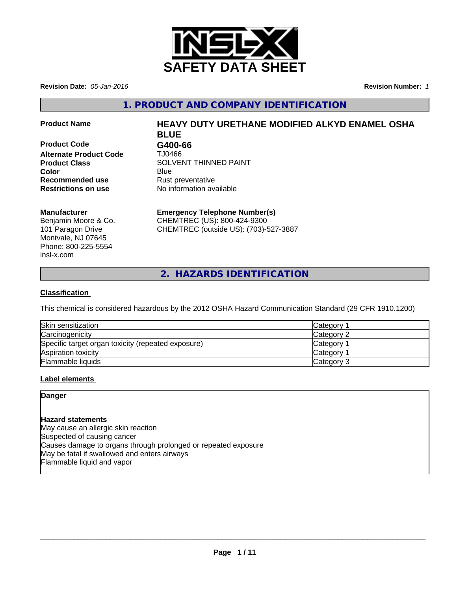

**Revision Date:** *05-Jan-2016* **Revision Number:** *1*

**1. PRODUCT AND COMPANY IDENTIFICATION**

**Product Code G400-66 Alternate Product Code** TJ0466 **Recommended use** Rust preventative **Restrictions on use** No information available

# **Product Name HEAVY DUTY URETHANE MODIFIED ALKYD ENAMEL OSHA BLUE**

**Product Class SOLVENT THINNED PAINT Color** Blue Blue

## **Manufacturer**

Benjamin Moore & Co. 101 Paragon Drive Montvale, NJ 07645 Phone: 800-225-5554 insl-x.com

## **Emergency Telephone Number(s)**

CHEMTREC (US): 800-424-9300 CHEMTREC (outside US): (703)-527-3887

**2. HAZARDS IDENTIFICATION**

## **Classification**

This chemical is considered hazardous by the 2012 OSHA Hazard Communication Standard (29 CFR 1910.1200)

| Skin sensitization                                 | Category        |
|----------------------------------------------------|-----------------|
| Carcinogenicity                                    | Category 2      |
| Specific target organ toxicity (repeated exposure) | <b>Category</b> |
| Aspiration toxicity                                | Category        |
| Flammable liquids                                  | Category 3      |

## **Label elements**

## **Danger**

## **Hazard statements**

May cause an allergic skin reaction Suspected of causing cancer Causes damage to organs through prolonged or repeated exposure May be fatal if swallowed and enters airways Flammable liquid and vapor

 $\overline{\phantom{a}}$  ,  $\overline{\phantom{a}}$  ,  $\overline{\phantom{a}}$  ,  $\overline{\phantom{a}}$  ,  $\overline{\phantom{a}}$  ,  $\overline{\phantom{a}}$  ,  $\overline{\phantom{a}}$  ,  $\overline{\phantom{a}}$  ,  $\overline{\phantom{a}}$  ,  $\overline{\phantom{a}}$  ,  $\overline{\phantom{a}}$  ,  $\overline{\phantom{a}}$  ,  $\overline{\phantom{a}}$  ,  $\overline{\phantom{a}}$  ,  $\overline{\phantom{a}}$  ,  $\overline{\phantom{a}}$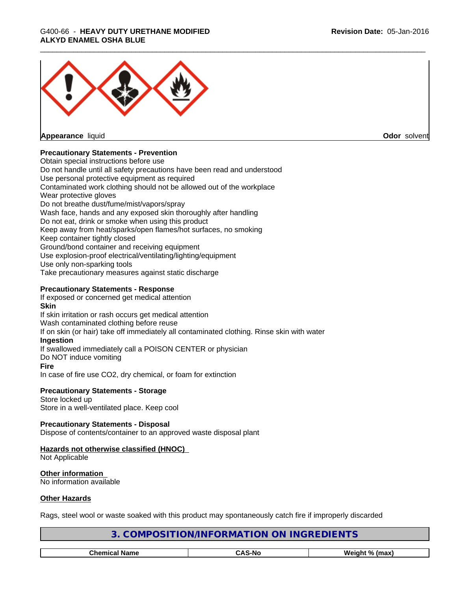# \_\_\_\_\_\_\_\_\_\_\_\_\_\_\_\_\_\_\_\_\_\_\_\_\_\_\_\_\_\_\_\_\_\_\_\_\_\_\_\_\_\_\_\_\_\_\_\_\_\_\_\_\_\_\_\_\_\_\_\_\_\_\_\_\_\_\_\_\_\_\_\_\_\_\_\_\_\_\_\_\_\_\_\_\_\_\_\_\_\_\_\_\_ G400-66 - **HEAVY DUTY URETHANE MODIFIED ALKYD ENAMEL OSHA BLUE**



**Appearance** liquid **Odor** solvent

## **Precautionary Statements - Prevention**

Obtain special instructions before use Do not handle until all safety precautions have been read and understood Use personal protective equipment as required Contaminated work clothing should not be allowed out of the workplace Wear protective gloves Do not breathe dust/fume/mist/vapors/spray Wash face, hands and any exposed skin thoroughly after handling Do not eat, drink or smoke when using this product Keep away from heat/sparks/open flames/hot surfaces, no smoking Keep container tightly closed Ground/bond container and receiving equipment Use explosion-proof electrical/ventilating/lighting/equipment Use only non-sparking tools Take precautionary measures against static discharge

## **Precautionary Statements - Response**

If exposed or concerned get medical attention

## **Skin**

If skin irritation or rash occurs get medical attention Wash contaminated clothing before reuse If on skin (or hair) take off immediately all contaminated clothing. Rinse skin with water **Ingestion** If swallowed immediately call a POISON CENTER or physician Do NOT induce vomiting **Fire** In case of fire use CO2, dry chemical, or foam for extinction

#### **Precautionary Statements - Storage** Store locked up

Store in a well-ventilated place. Keep cool

## **Precautionary Statements - Disposal**

Dispose of contents/container to an approved waste disposal plant

# **Hazards not otherwise classified (HNOC)**

Not Applicable

**Other information** No information available

## **Other Hazards**

Rags, steel wool or waste soaked with this product may spontaneously catch fire if improperly discarded

| INGREI<br><b>JRMA</b><br>DN.<br>SNT-<br>INF (<br>INE.<br>JNI/I |               |                |
|----------------------------------------------------------------|---------------|----------------|
|                                                                |               |                |
| <b>Chemical Name</b>                                           | <b>CAS-No</b> | Weight % (max) |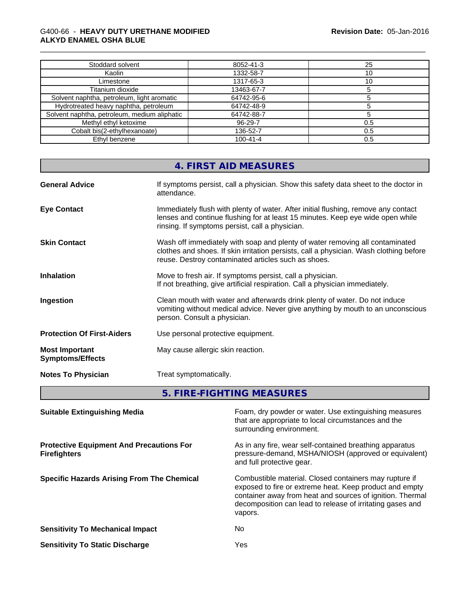## \_\_\_\_\_\_\_\_\_\_\_\_\_\_\_\_\_\_\_\_\_\_\_\_\_\_\_\_\_\_\_\_\_\_\_\_\_\_\_\_\_\_\_\_\_\_\_\_\_\_\_\_\_\_\_\_\_\_\_\_\_\_\_\_\_\_\_\_\_\_\_\_\_\_\_\_\_\_\_\_\_\_\_\_\_\_\_\_\_\_\_\_\_ G400-66 - **HEAVY DUTY URETHANE MODIFIED ALKYD ENAMEL OSHA BLUE**

| Stoddard solvent                             | 8052-41-3      | 25  |
|----------------------------------------------|----------------|-----|
| Kaolin                                       | 1332-58-7      | 10  |
| Limestone                                    | 1317-65-3      | 10  |
| Titanium dioxide                             | 13463-67-7     |     |
| Solvent naphtha, petroleum, light aromatic   | 64742-95-6     |     |
| Hydrotreated heavy naphtha, petroleum        | 64742-48-9     |     |
| Solvent naphtha, petroleum, medium aliphatic | 64742-88-7     |     |
| Methyl ethyl ketoxime                        | 96-29-7        | 0.5 |
| Cobalt bis(2-ethylhexanoate)                 | 136-52-7       | 0.5 |
| Ethyl benzene                                | $100 - 41 - 4$ | 0.5 |

| If symptoms persist, call a physician. Show this safety data sheet to the doctor in<br><b>General Advice</b><br>attendance.<br>Immediately flush with plenty of water. After initial flushing, remove any contact<br><b>Eye Contact</b><br>lenses and continue flushing for at least 15 minutes. Keep eye wide open while<br>rinsing. If symptoms persist, call a physician. |
|------------------------------------------------------------------------------------------------------------------------------------------------------------------------------------------------------------------------------------------------------------------------------------------------------------------------------------------------------------------------------|
|                                                                                                                                                                                                                                                                                                                                                                              |
|                                                                                                                                                                                                                                                                                                                                                                              |
| Wash off immediately with soap and plenty of water removing all contaminated<br><b>Skin Contact</b><br>clothes and shoes. If skin irritation persists, call a physician. Wash clothing before<br>reuse. Destroy contaminated articles such as shoes.                                                                                                                         |
| Move to fresh air. If symptoms persist, call a physician.<br><b>Inhalation</b><br>If not breathing, give artificial respiration. Call a physician immediately.                                                                                                                                                                                                               |
| Clean mouth with water and afterwards drink plenty of water. Do not induce<br>Ingestion<br>vomiting without medical advice. Never give anything by mouth to an unconscious<br>person. Consult a physician.                                                                                                                                                                   |
| <b>Protection Of First-Aiders</b><br>Use personal protective equipment.                                                                                                                                                                                                                                                                                                      |
| May cause allergic skin reaction.<br><b>Most Important</b><br><b>Symptoms/Effects</b>                                                                                                                                                                                                                                                                                        |
| Treat symptomatically.<br><b>Notes To Physician</b>                                                                                                                                                                                                                                                                                                                          |

**5. FIRE-FIGHTING MEASURES** 

| <b>Suitable Extinguishing Media</b>                                    | Foam, dry powder or water. Use extinguishing measures<br>that are appropriate to local circumstances and the<br>surrounding environment.                                                                                                               |
|------------------------------------------------------------------------|--------------------------------------------------------------------------------------------------------------------------------------------------------------------------------------------------------------------------------------------------------|
| <b>Protective Equipment And Precautions For</b><br><b>Firefighters</b> | As in any fire, wear self-contained breathing apparatus<br>pressure-demand, MSHA/NIOSH (approved or equivalent)<br>and full protective gear.                                                                                                           |
| <b>Specific Hazards Arising From The Chemical</b>                      | Combustible material. Closed containers may rupture if<br>exposed to fire or extreme heat. Keep product and empty<br>container away from heat and sources of ignition. Thermal<br>decomposition can lead to release of irritating gases and<br>vapors. |
| <b>Sensitivity To Mechanical Impact</b>                                | No                                                                                                                                                                                                                                                     |
| <b>Sensitivity To Static Discharge</b>                                 | Yes                                                                                                                                                                                                                                                    |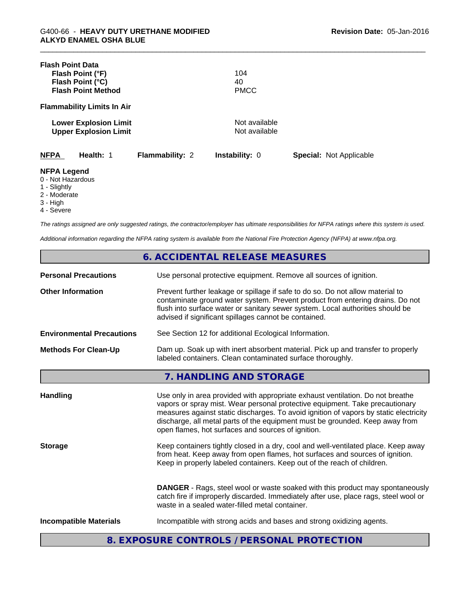| <b>Flash Point Data</b>                                                                           | Flash Point (°F)<br>Flash Point (°C)<br><b>Flash Point Method</b> |                 | 104<br>40<br><b>PMCC</b>       |                                |  |
|---------------------------------------------------------------------------------------------------|-------------------------------------------------------------------|-----------------|--------------------------------|--------------------------------|--|
|                                                                                                   | <b>Flammability Limits In Air</b>                                 |                 |                                |                                |  |
|                                                                                                   | <b>Lower Explosion Limit</b><br><b>Upper Explosion Limit</b>      |                 | Not available<br>Not available |                                |  |
| <b>NFPA</b>                                                                                       | Health: 1                                                         | Flammability: 2 | <b>Instability: 0</b>          | <b>Special: Not Applicable</b> |  |
| <b>NFPA Legend</b><br>0 - Not Hazardous<br>1 - Slightly<br>2 - Moderate<br>3 - High<br>4 - Severe |                                                                   |                 |                                |                                |  |

*The ratings assigned are only suggested ratings, the contractor/employer has ultimate responsibilities for NFPA ratings where this system is used.*

*Additional information regarding the NFPA rating system is available from the National Fire Protection Agency (NFPA) at www.nfpa.org.*

|                                  | 6. ACCIDENTAL RELEASE MEASURES                                                                                                                                                                                                                                                                                                                                                                |  |
|----------------------------------|-----------------------------------------------------------------------------------------------------------------------------------------------------------------------------------------------------------------------------------------------------------------------------------------------------------------------------------------------------------------------------------------------|--|
| <b>Personal Precautions</b>      | Use personal protective equipment. Remove all sources of ignition.                                                                                                                                                                                                                                                                                                                            |  |
| <b>Other Information</b>         | Prevent further leakage or spillage if safe to do so. Do not allow material to<br>contaminate ground water system. Prevent product from entering drains. Do not<br>flush into surface water or sanitary sewer system. Local authorities should be<br>advised if significant spillages cannot be contained.                                                                                    |  |
| <b>Environmental Precautions</b> | See Section 12 for additional Ecological Information.                                                                                                                                                                                                                                                                                                                                         |  |
| <b>Methods For Clean-Up</b>      | Dam up. Soak up with inert absorbent material. Pick up and transfer to properly<br>labeled containers. Clean contaminated surface thoroughly.                                                                                                                                                                                                                                                 |  |
|                                  | 7. HANDLING AND STORAGE                                                                                                                                                                                                                                                                                                                                                                       |  |
| <b>Handling</b>                  | Use only in area provided with appropriate exhaust ventilation. Do not breathe<br>vapors or spray mist. Wear personal protective equipment. Take precautionary<br>measures against static discharges. To avoid ignition of vapors by static electricity<br>discharge, all metal parts of the equipment must be grounded. Keep away from<br>open flames, hot surfaces and sources of ignition. |  |
| <b>Storage</b>                   | Keep containers tightly closed in a dry, cool and well-ventilated place. Keep away<br>from heat. Keep away from open flames, hot surfaces and sources of ignition.<br>Keep in properly labeled containers. Keep out of the reach of children.                                                                                                                                                 |  |
|                                  | <b>DANGER</b> - Rags, steel wool or waste soaked with this product may spontaneously<br>catch fire if improperly discarded. Immediately after use, place rags, steel wool or<br>waste in a sealed water-filled metal container.                                                                                                                                                               |  |
| <b>Incompatible Materials</b>    | Incompatible with strong acids and bases and strong oxidizing agents.                                                                                                                                                                                                                                                                                                                         |  |

**8. EXPOSURE CONTROLS / PERSONAL PROTECTION**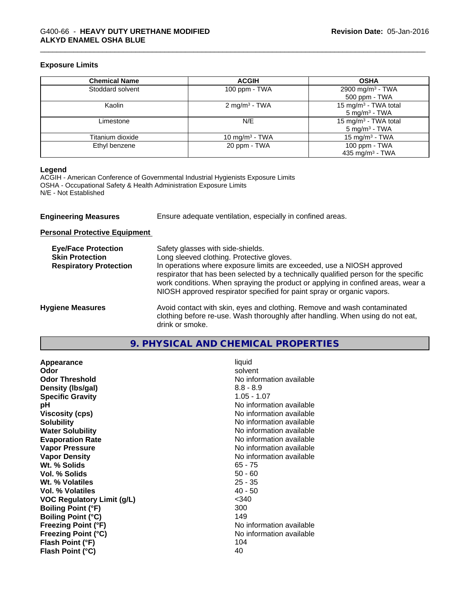## \_\_\_\_\_\_\_\_\_\_\_\_\_\_\_\_\_\_\_\_\_\_\_\_\_\_\_\_\_\_\_\_\_\_\_\_\_\_\_\_\_\_\_\_\_\_\_\_\_\_\_\_\_\_\_\_\_\_\_\_\_\_\_\_\_\_\_\_\_\_\_\_\_\_\_\_\_\_\_\_\_\_\_\_\_\_\_\_\_\_\_\_\_ G400-66 - **HEAVY DUTY URETHANE MODIFIED ALKYD ENAMEL OSHA BLUE**

## **Exposure Limits**

| <b>Chemical Name</b> | <b>ACGIH</b>              | <b>OSHA</b>                      |
|----------------------|---------------------------|----------------------------------|
| Stoddard solvent     | 100 ppm - TWA             | 2900 mg/m <sup>3</sup> - TWA     |
|                      |                           | 500 ppm - TWA                    |
| Kaolin               | 2 mg/m <sup>3</sup> - TWA | 15 mg/m <sup>3</sup> - TWA total |
|                      |                           | $5 \text{ mg/m}^3$ - TWA         |
| Limestone            | N/E                       | 15 mg/m <sup>3</sup> - TWA total |
|                      |                           | $5 \text{ mg/m}^3$ - TWA         |
| Titanium dioxide     | 10 mg/m $3$ - TWA         | 15 mg/m <sup>3</sup> - TWA       |
| Ethyl benzene        | 20 ppm - TWA              | 100 ppm - TWA                    |
|                      |                           | 435 mg/m <sup>3</sup> - TWA      |

#### **Legend**

ACGIH - American Conference of Governmental Industrial Hygienists Exposure Limits OSHA - Occupational Safety & Health Administration Exposure Limits N/E - Not Established

| <b>Engineering Measures</b> | Ensure adequate ventilation, especially in confined areas. |
|-----------------------------|------------------------------------------------------------|
|                             |                                                            |

**Personal Protective Equipment**

| <b>Eye/Face Protection</b><br><b>Skin Protection</b><br><b>Respiratory Protection</b> | Safety glasses with side-shields.<br>Long sleeved clothing. Protective gloves.<br>In operations where exposure limits are exceeded, use a NIOSH approved<br>respirator that has been selected by a technically qualified person for the specific<br>work conditions. When spraying the product or applying in confined areas, wear a<br>NIOSH approved respirator specified for paint spray or organic vapors. |
|---------------------------------------------------------------------------------------|----------------------------------------------------------------------------------------------------------------------------------------------------------------------------------------------------------------------------------------------------------------------------------------------------------------------------------------------------------------------------------------------------------------|
| <b>Hygiene Measures</b>                                                               | Avoid contact with skin, eyes and clothing. Remove and wash contaminated<br>clothing before re-use. Wash thoroughly after handling. When using do not eat,<br>drink or smoke.                                                                                                                                                                                                                                  |

| 9. PHYSICAL AND CHEMICAL PROPERTIES |  |
|-------------------------------------|--|
|-------------------------------------|--|

| Appearance                 | liquid                   |
|----------------------------|--------------------------|
| Odor                       | solvent                  |
| <b>Odor Threshold</b>      | No information available |
| Density (Ibs/gal)          | $8.8 - 8.9$              |
| <b>Specific Gravity</b>    | $1.05 - 1.07$            |
| рH                         | No information available |
| <b>Viscosity (cps)</b>     | No information available |
| <b>Solubility</b>          | No information available |
| <b>Water Solubility</b>    | No information available |
| <b>Evaporation Rate</b>    | No information available |
| <b>Vapor Pressure</b>      | No information available |
| <b>Vapor Density</b>       | No information available |
| Wt. % Solids               | $65 - 75$                |
| Vol. % Solids              | $50 - 60$                |
| Wt. % Volatiles            | $25 - 35$                |
| Vol. % Volatiles           | $40 - 50$                |
| VOC Regulatory Limit (g/L) | $340$                    |
| <b>Boiling Point (°F)</b>  | 300                      |
| <b>Boiling Point (°C)</b>  | 149                      |
| <b>Freezing Point (°F)</b> | No information available |
| <b>Freezing Point (°C)</b> | No information available |
| Flash Point (°F)           | 104                      |
| Flash Point (°C)           | 40                       |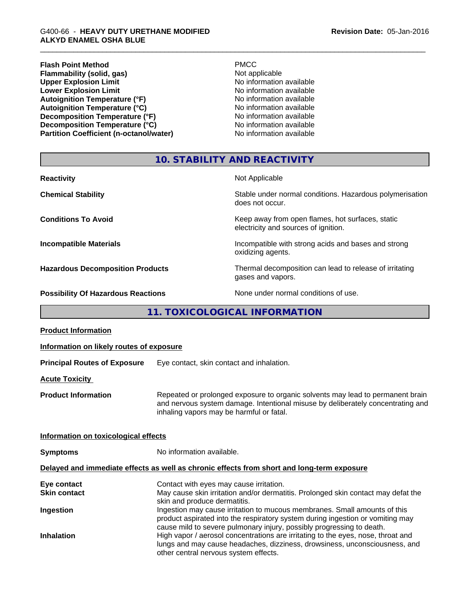| <b>PMCC</b>              |
|--------------------------|
| Not applicable           |
| No information available |
| No information available |
| No information available |
| No information available |
| No information available |
| No information available |
| No information available |
|                          |

## **10. STABILITY AND REACTIVITY**

| <b>Reactivity</b>                         | Not Applicable                                                                           |
|-------------------------------------------|------------------------------------------------------------------------------------------|
| <b>Chemical Stability</b>                 | Stable under normal conditions. Hazardous polymerisation<br>does not occur.              |
| <b>Conditions To Avoid</b>                | Keep away from open flames, hot surfaces, static<br>electricity and sources of ignition. |
| <b>Incompatible Materials</b>             | Incompatible with strong acids and bases and strong<br>oxidizing agents.                 |
| <b>Hazardous Decomposition Products</b>   | Thermal decomposition can lead to release of irritating<br>gases and vapors.             |
| <b>Possibility Of Hazardous Reactions</b> | None under normal conditions of use.                                                     |

## **11. TOXICOLOGICAL INFORMATION**

| <b>Product Information</b>               |                                                                                                                                                                                                                                      |
|------------------------------------------|--------------------------------------------------------------------------------------------------------------------------------------------------------------------------------------------------------------------------------------|
| Information on likely routes of exposure |                                                                                                                                                                                                                                      |
| <b>Principal Routes of Exposure</b>      | Eye contact, skin contact and inhalation.                                                                                                                                                                                            |
| <b>Acute Toxicity</b>                    |                                                                                                                                                                                                                                      |
| <b>Product Information</b>               | Repeated or prolonged exposure to organic solvents may lead to permanent brain<br>and nervous system damage. Intentional misuse by deliberately concentrating and<br>inhaling vapors may be harmful or fatal.                        |
| Information on toxicological effects     |                                                                                                                                                                                                                                      |
| <b>Symptoms</b>                          | No information available.                                                                                                                                                                                                            |
|                                          | Delayed and immediate effects as well as chronic effects from short and long-term exposure                                                                                                                                           |
| Eye contact                              | Contact with eyes may cause irritation.                                                                                                                                                                                              |
| <b>Skin contact</b>                      | May cause skin irritation and/or dermatitis. Prolonged skin contact may defat the<br>skin and produce dermatitis.                                                                                                                    |
| Ingestion                                | Ingestion may cause irritation to mucous membranes. Small amounts of this<br>product aspirated into the respiratory system during ingestion or vomiting may<br>cause mild to severe pulmonary injury, possibly progressing to death. |
| <b>Inhalation</b>                        | High vapor / aerosol concentrations are irritating to the eyes, nose, throat and<br>lungs and may cause headaches, dizziness, drowsiness, unconsciousness, and<br>other central nervous system effects.                              |
|                                          |                                                                                                                                                                                                                                      |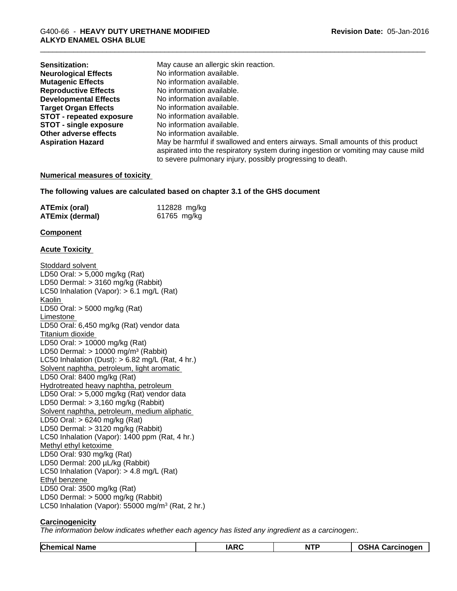| May cause an allergic skin reaction.                                                                                                                                                                                             |
|----------------------------------------------------------------------------------------------------------------------------------------------------------------------------------------------------------------------------------|
| No information available.                                                                                                                                                                                                        |
| No information available.                                                                                                                                                                                                        |
| No information available.                                                                                                                                                                                                        |
| No information available.                                                                                                                                                                                                        |
| No information available.                                                                                                                                                                                                        |
| No information available.                                                                                                                                                                                                        |
| No information available.                                                                                                                                                                                                        |
| No information available.                                                                                                                                                                                                        |
| May be harmful if swallowed and enters airways. Small amounts of this product<br>aspirated into the respiratory system during ingestion or vomiting may cause mild<br>to severe pulmonary injury, possibly progressing to death. |
|                                                                                                                                                                                                                                  |

#### **Numerical measures of toxicity**

**The following values are calculated based on chapter 3.1 of the GHS document**

| <b>ATEmix (oral)</b> | 112828 mg/kg |
|----------------------|--------------|
| ATEmix (dermal)      | 61765 mg/kg  |

#### **Component**

## **Acute Toxicity**

Stoddard solvent LD50 Oral: > 5,000 mg/kg (Rat) LD50 Dermal: > 3160 mg/kg (Rabbit) LC50 Inhalation (Vapor): > 6.1 mg/L (Rat) Kaolin LD50 Oral: > 5000 mg/kg (Rat) Limestone LD50 Oral: 6,450 mg/kg (Rat) vendor data Titanium dioxide LD50 Oral: > 10000 mg/kg (Rat) LD50 Dermal:  $> 10000$  mg/m<sup>3</sup> (Rabbit) LC50 Inhalation (Dust):  $> 6.82$  mg/L (Rat, 4 hr.) Solvent naphtha, petroleum, light aromatic LD50 Oral: 8400 mg/kg (Rat) Hydrotreated heavy naphtha, petroleum LD50 Oral: > 5,000 mg/kg (Rat) vendor data LD50 Dermal: > 3,160 mg/kg (Rabbit) Solvent naphtha, petroleum, medium aliphatic LD50 Oral: > 6240 mg/kg (Rat) LD50 Dermal: > 3120 mg/kg (Rabbit) LC50 Inhalation (Vapor): 1400 ppm (Rat, 4 hr.) Methyl ethyl ketoxime LD50 Oral: 930 mg/kg (Rat) LD50 Dermal: 200 µL/kg (Rabbit) LC50 Inhalation (Vapor): > 4.8 mg/L (Rat) Ethyl benzene LD50 Oral: 3500 mg/kg (Rat) LD50 Dermal: > 5000 mg/kg (Rabbit) LC50 Inhalation (Vapor): 55000 mg/m<sup>3</sup> (Rat, 2 hr.)

## **Carcinogenicity**

*The information below indicateswhether each agency has listed any ingredient as a carcinogen:.*

| <b>Chemical Name</b> | $\sim$ | <b>NTF</b> | arcinoger<br>unda |
|----------------------|--------|------------|-------------------|
|                      |        |            |                   |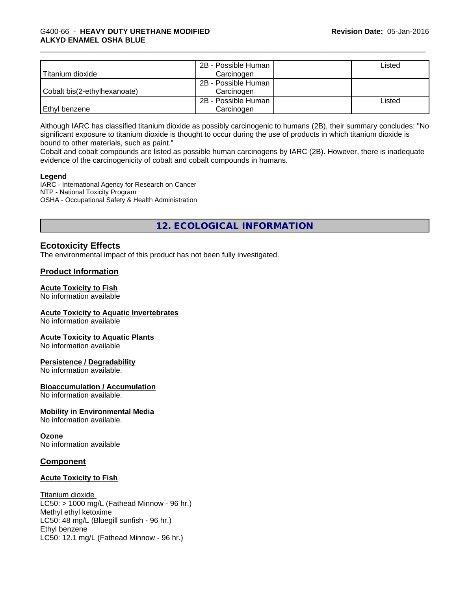| Titanium dioxide             | 2B - Possible Human<br>Carcinogen | Listed |
|------------------------------|-----------------------------------|--------|
| Cobalt bis(2-ethylhexanoate) | 2B - Possible Human<br>Carcinogen |        |
| Ethyl benzene                | 2B - Possible Human<br>Carcinogen | ∟isted |

Although IARC has classified titanium dioxide as possibly carcinogenic to humans (2B), their summary concludes: "No significant exposure to titanium dioxide is thought to occur during the use of products in which titanium dioxide is bound to other materials, such as paint."

Cobalt and cobalt compounds are listed as possible human carcinogens by IARC (2B). However, there isinadequate evidence of the carcinogenicity of cobalt and cobalt compounds in humans.

#### **Legend**

IARC - International Agency for Research on Cancer NTP - National Toxicity Program OSHA - Occupational Safety & Health Administration

## **12. ECOLOGICAL INFORMATION**

## **Ecotoxicity Effects**

The environmental impact of this product has not been fully investigated.

## **Product Information**

## **Acute Toxicity to Fish**

No information available

## **Acute Toxicity to Aquatic Invertebrates**

No information available

## **Acute Toxicity to Aquatic Plants**

No information available

## **Persistence / Degradability**

No information available.

**Bioaccumulation / Accumulation** No information available.

## **Mobility in Environmental Media**

No information available.

## **Ozone**

No information available

## **Component**

## **Acute Toxicity to Fish**

Titanium dioxide  $LC50:$  > 1000 mg/L (Fathead Minnow - 96 hr.) Methyl ethyl ketoxime LC50: 48 mg/L (Bluegill sunfish - 96 hr.) Ethyl benzene LC50: 12.1 mg/L (Fathead Minnow - 96 hr.)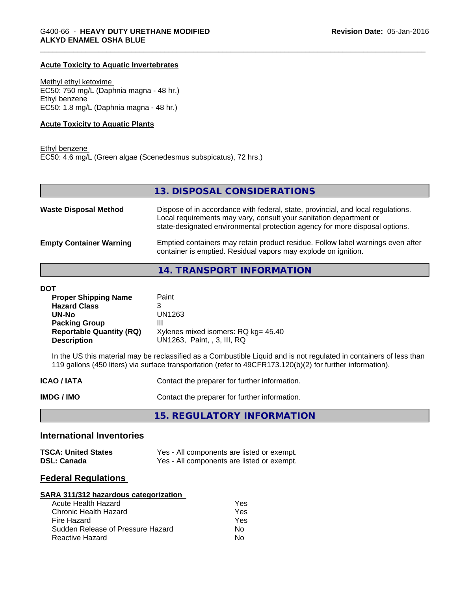#### **Acute Toxicity to Aquatic Invertebrates**

Methyl ethyl ketoxime EC50: 750 mg/L (Daphnia magna - 48 hr.) Ethyl benzene EC50: 1.8 mg/L (Daphnia magna - 48 hr.)

#### **Acute Toxicity to Aquatic Plants**

Ethyl benzene EC50: 4.6 mg/L (Green algae (Scenedesmus subspicatus), 72 hrs.)

| 13. DISPOSAL CONSIDERATIONS                                                                                                                                                                                                           |
|---------------------------------------------------------------------------------------------------------------------------------------------------------------------------------------------------------------------------------------|
| Dispose of in accordance with federal, state, provincial, and local regulations.<br>Local requirements may vary, consult your sanitation department or<br>state-designated environmental protection agency for more disposal options. |
| Emptied containers may retain product residue. Follow label warnings even after<br>container is emptied. Residual vapors may explode on ignition.                                                                                     |
|                                                                                                                                                                                                                                       |

**14. TRANSPORT INFORMATION**

| <b>Proper Shipping Name</b>     | Paint                               |
|---------------------------------|-------------------------------------|
| <b>Hazard Class</b>             |                                     |
| UN-No                           | UN1263                              |
| <b>Packing Group</b>            | Ш                                   |
| <b>Reportable Quantity (RQ)</b> | Xylenes mixed isomers: RQ kg= 45.40 |
| <b>Description</b>              | UN1263, Paint, , 3, III, RQ         |

In the US this material may be reclassified as a Combustible Liquid and is not regulated in containers of less than 119 gallons (450 liters) via surface transportation (refer to 49CFR173.120(b)(2) for further information).

| <b>ICAO/IATA</b> | Contact the preparer for further information. |
|------------------|-----------------------------------------------|
| IMDG / IMO       | Contact the preparer for further information. |

**15. REGULATORY INFORMATION**

## **International Inventories**

| <b>TSCA: United States</b> | Yes - All components are listed or exempt. |
|----------------------------|--------------------------------------------|
| <b>DSL: Canada</b>         | Yes - All components are listed or exempt. |

## **Federal Regulations**

| SARA 311/312 hazardous categorization |     |  |
|---------------------------------------|-----|--|
| Acute Health Hazard                   | Yes |  |
| Chronic Health Hazard                 | Yes |  |
| Fire Hazard                           | Yes |  |
| Sudden Release of Pressure Hazard     | Nο  |  |
| Reactive Hazard                       | N٥  |  |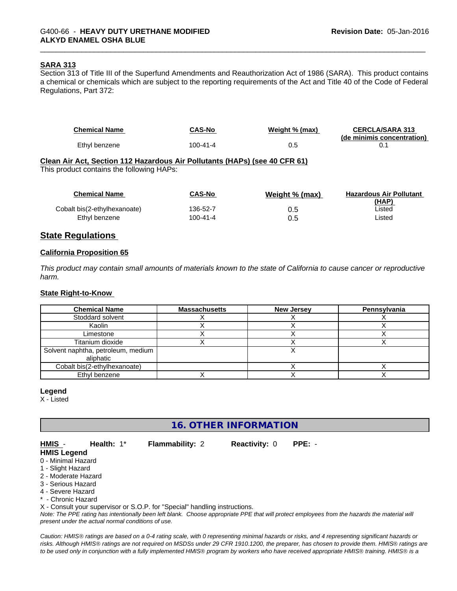#### **SARA 313**

Section 313 of Title III of the Superfund Amendments and Reauthorization Act of 1986 (SARA). This product contains a chemical or chemicals which are subject to the reporting requirements of the Act and Title 40 of the Code of Federal Regulations, Part 372:

| <b>Chemical Name</b> | <b>CAS-No</b> | Weight % (max) | <b>CERCLA/SARA 313</b><br>(de minimis concentration) |
|----------------------|---------------|----------------|------------------------------------------------------|
| Ethyl benzene        | 100-41-4      | u.u            |                                                      |

## **Clean Air Act,Section 112 Hazardous Air Pollutants (HAPs) (see 40 CFR 61)**

This product contains the following HAPs:

| <b>Chemical Name</b>         | <b>CAS-No</b>  | Weight % (max) | <b>Hazardous Air Pollutant</b><br>(HAP) |
|------------------------------|----------------|----------------|-----------------------------------------|
| Cobalt bis(2-ethylhexanoate) | 136-52-7       |                | ∟isted                                  |
| Ethyl benzene                | $100 - 41 - 4$ | 0.5            | ∟isted                                  |

## **State Regulations**

#### **California Proposition 65**

This product may contain small amounts of materials known to the state of California to cause cancer or reproductive *harm.*

#### **State Right-to-Know**

| <b>Chemical Name</b>               | <b>Massachusetts</b> | <b>New Jersey</b> | Pennsylvania |
|------------------------------------|----------------------|-------------------|--------------|
| Stoddard solvent                   |                      |                   |              |
| Kaolin                             |                      |                   |              |
| Limestone                          |                      |                   |              |
| Titanium dioxide                   |                      |                   |              |
| Solvent naphtha, petroleum, medium |                      |                   |              |
| aliphatic                          |                      |                   |              |
| Cobalt bis(2-ethylhexanoate)       |                      |                   |              |
| Ethyl benzene                      |                      |                   |              |

**Legend**

X - Listed

## **16. OTHER INFORMATION**

#### **HMIS** - **Health:** 1\* **Flammability:** 2 **Reactivity:** 0 **PPE:** - **HMIS Legend**

0 - Minimal Hazard

- 1 Slight Hazard
- 2 Moderate Hazard
- 3 Serious Hazard
- 4 Severe Hazard

\* - Chronic Hazard

X - Consult your supervisor or S.O.P. for "Special" handling instructions.

*Note: The PPE rating has intentionally been left blank. Choose appropriate PPE that will protect employees from the hazards the material will present under the actual normal conditions of use.*

*Caution: HMISÒ ratings are based on a 0-4 rating scale, with 0 representing minimal hazards or risks, and 4 representing significant hazards or risks. Although HMISÒ ratings are not required on MSDSs under 29 CFR 1910.1200, the preparer, has chosen to provide them. HMISÒ ratings are to be used only in conjunction with a fully implemented HMISÒ program by workers who have received appropriate HMISÒ training. HMISÒ is a*